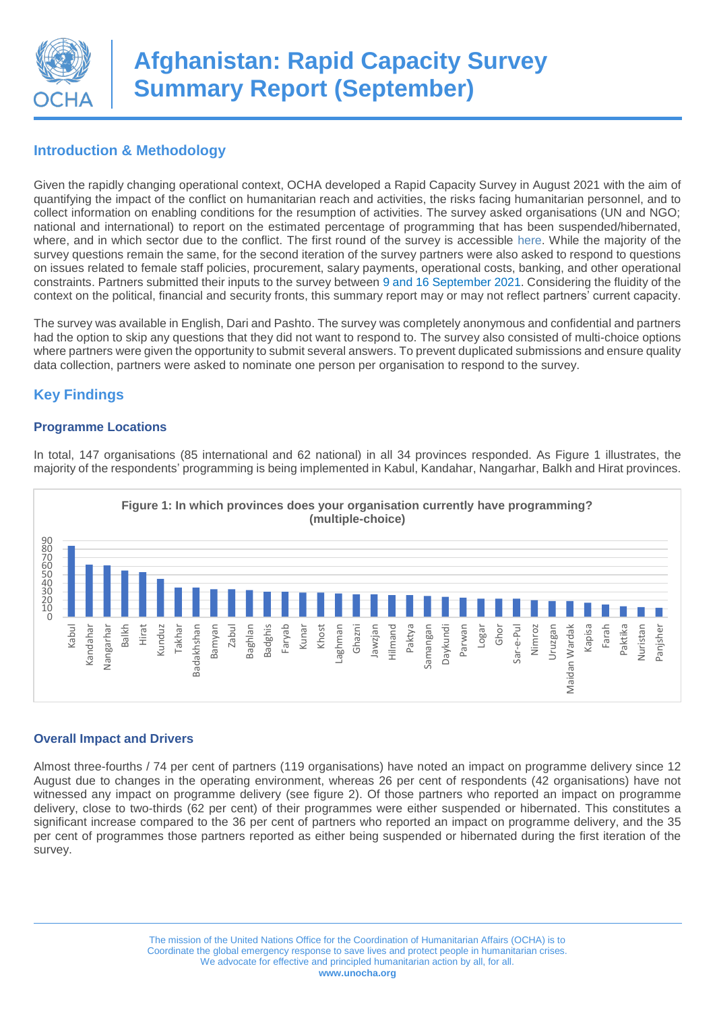

## **Introduction & Methodology**

Given the rapidly changing operational context, OCHA developed a Rapid Capacity Survey in August 2021 with the aim of quantifying the impact of the conflict on humanitarian reach and activities, the risks facing humanitarian personnel, and to collect information on enabling conditions for the resumption of activities. The survey asked organisations (UN and NGO; national and international) to report on the estimated percentage of programming that has been suspended/hibernated, where, and in which sector due to the conflict. The first round of the survey is accessible [here.](https://www.humanitarianresponse.info/sites/www.humanitarianresponse.info/files/documents/files/rapid_capacity_survey_summary_report_august_2021.pdf) While the majority of the survey questions remain the same, for the second iteration of the survey partners were also asked to respond to questions on issues related to female staff policies, procurement, salary payments, operational costs, banking, and other operational constraints. Partners submitted their inputs to the survey between 9 and 16 September 2021. Considering the fluidity of the context on the political, financial and security fronts, this summary report may or may not reflect partners' current capacity.

The survey was available in English, Dari and Pashto. The survey was completely anonymous and confidential and partners had the option to skip any questions that they did not want to respond to. The survey also consisted of multi-choice options where partners were given the opportunity to submit several answers. To prevent duplicated submissions and ensure quality data collection, partners were asked to nominate one person per organisation to respond to the survey.

# **Key Findings**

#### **Programme Locations**



In total, 147 organisations (85 international and 62 national) in all 34 provinces responded. As Figure 1 illustrates, the majority of the respondents' programming is being implemented in Kabul, Kandahar, Nangarhar, Balkh and Hirat provinces.

### **Overall Impact and Drivers**

Almost three-fourths / 74 per cent of partners (119 organisations) have noted an impact on programme delivery since 12 August due to changes in the operating environment, whereas 26 per cent of respondents (42 organisations) have not witnessed any impact on programme delivery (see figure 2). Of those partners who reported an impact on programme delivery, close to two-thirds (62 per cent) of their programmes were either suspended or hibernated. This constitutes a significant increase compared to the 36 per cent of partners who reported an impact on programme delivery, and the 35 per cent of programmes those partners reported as either being suspended or hibernated during the first iteration of the survey.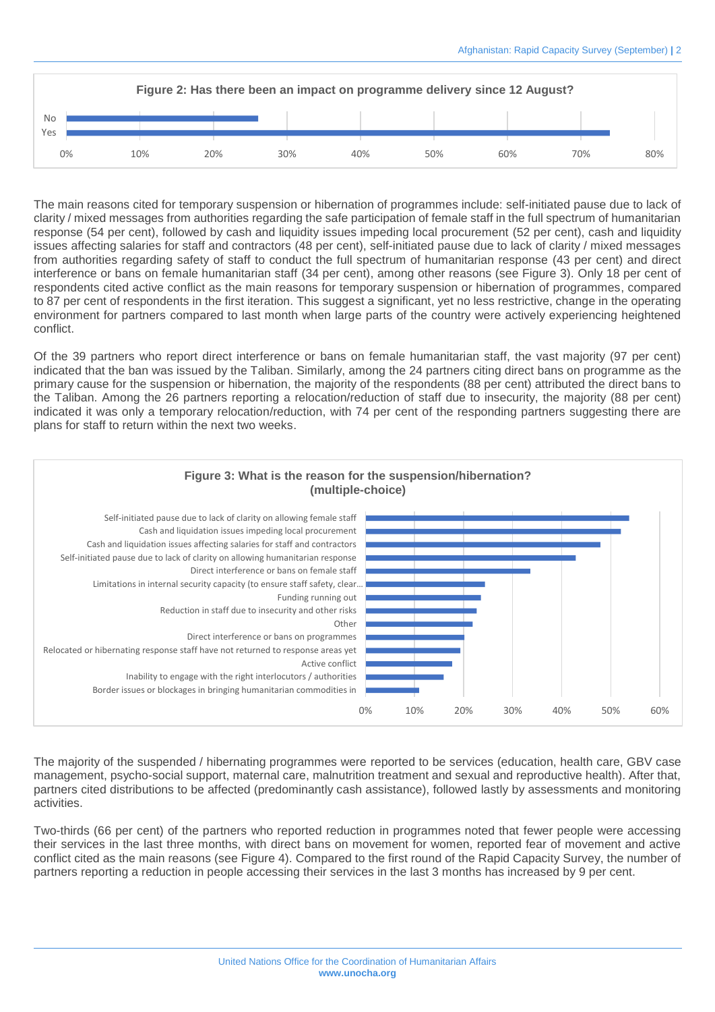

The main reasons cited for temporary suspension or hibernation of programmes include: self-initiated pause due to lack of clarity / mixed messages from authorities regarding the safe participation of female staff in the full spectrum of humanitarian response (54 per cent), followed by cash and liquidity issues impeding local procurement (52 per cent), cash and liquidity issues affecting salaries for staff and contractors (48 per cent), self-initiated pause due to lack of clarity / mixed messages from authorities regarding safety of staff to conduct the full spectrum of humanitarian response (43 per cent) and direct interference or bans on female humanitarian staff (34 per cent), among other reasons (see Figure 3). Only 18 per cent of respondents cited active conflict as the main reasons for temporary suspension or hibernation of programmes, compared to 87 per cent of respondents in the first iteration. This suggest a significant, yet no less restrictive, change in the operating environment for partners compared to last month when large parts of the country were actively experiencing heightened conflict.

Of the 39 partners who report direct interference or bans on female humanitarian staff, the vast majority (97 per cent) indicated that the ban was issued by the Taliban. Similarly, among the 24 partners citing direct bans on programme as the primary cause for the suspension or hibernation, the majority of the respondents (88 per cent) attributed the direct bans to the Taliban. Among the 26 partners reporting a relocation/reduction of staff due to insecurity, the majority (88 per cent) indicated it was only a temporary relocation/reduction, with 74 per cent of the responding partners suggesting there are plans for staff to return within the next two weeks.



The majority of the suspended / hibernating programmes were reported to be services (education, health care, GBV case management, psycho-social support, maternal care, malnutrition treatment and sexual and reproductive health). After that, partners cited distributions to be affected (predominantly cash assistance), followed lastly by assessments and monitoring activities.

Two-thirds (66 per cent) of the partners who reported reduction in programmes noted that fewer people were accessing their services in the last three months, with direct bans on movement for women, reported fear of movement and active conflict cited as the main reasons (see Figure 4). Compared to the first round of the Rapid Capacity Survey, the number of partners reporting a reduction in people accessing their services in the last 3 months has increased by 9 per cent.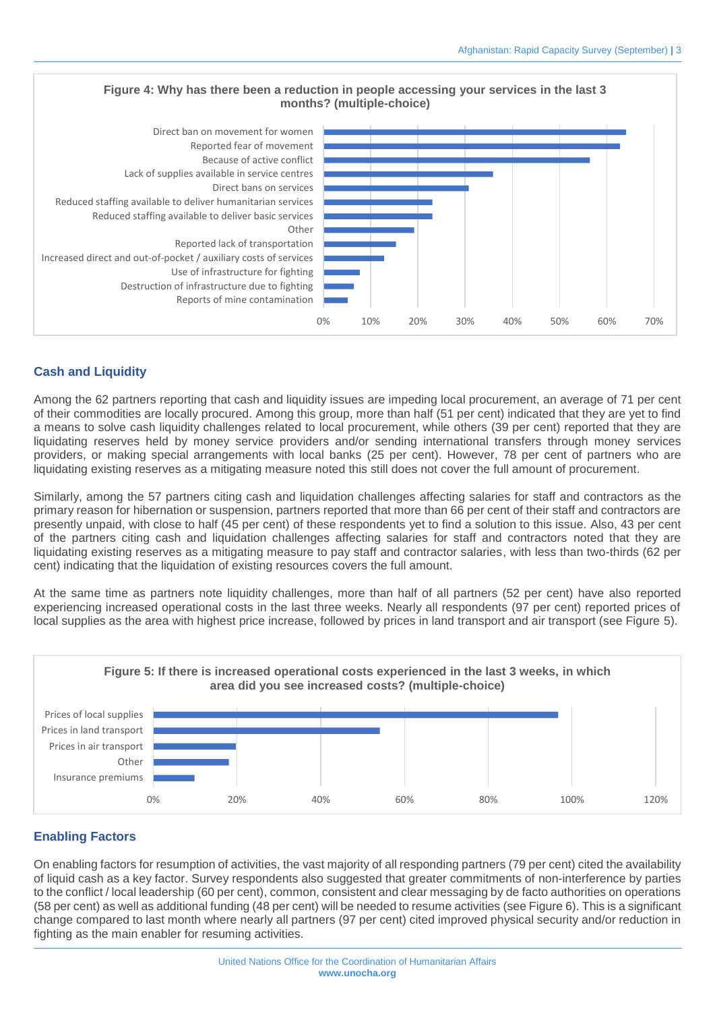

### **Cash and Liquidity**

Among the 62 partners reporting that cash and liquidity issues are impeding local procurement, an average of 71 per cent of their commodities are locally procured. Among this group, more than half (51 per cent) indicated that they are yet to find a means to solve cash liquidity challenges related to local procurement, while others (39 per cent) reported that they are liquidating reserves held by money service providers and/or sending international transfers through money services providers, or making special arrangements with local banks (25 per cent). However, 78 per cent of partners who are liquidating existing reserves as a mitigating measure noted this still does not cover the full amount of procurement.

Similarly, among the 57 partners citing cash and liquidation challenges affecting salaries for staff and contractors as the primary reason for hibernation or suspension, partners reported that more than 66 per cent of their staff and contractors are presently unpaid, with close to half (45 per cent) of these respondents yet to find a solution to this issue. Also, 43 per cent of the partners citing cash and liquidation challenges affecting salaries for staff and contractors noted that they are liquidating existing reserves as a mitigating measure to pay staff and contractor salaries, with less than two-thirds (62 per cent) indicating that the liquidation of existing resources covers the full amount.

At the same time as partners note liquidity challenges, more than half of all partners (52 per cent) have also reported experiencing increased operational costs in the last three weeks. Nearly all respondents (97 per cent) reported prices of local supplies as the area with highest price increase, followed by prices in land transport and air transport (see Figure 5).



### **Enabling Factors**

On enabling factors for resumption of activities, the vast majority of all responding partners (79 per cent) cited the availability of liquid cash as a key factor. Survey respondents also suggested that greater commitments of non-interference by parties to the conflict / local leadership (60 per cent), common, consistent and clear messaging by de facto authorities on operations (58 per cent) as well as additional funding (48 per cent) will be needed to resume activities (see Figure 6). This is a significant change compared to last month where nearly all partners (97 per cent) cited improved physical security and/or reduction in fighting as the main enabler for resuming activities.